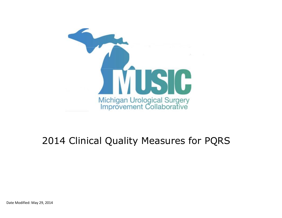

# 2014 Clinical Quality Measures for PQRS

Date Modified: May 29, 2014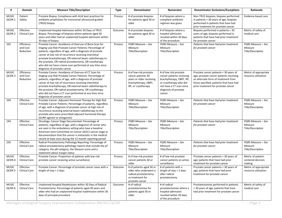| #                      | <b>Domain</b>                       | <b>Measure Title/Description</b>                                                                                                                                                                                                                                                                                                                                                                                                                             | <b>Type</b> | Denominator                                                                                                            | Numerator                                                                                                                                                                | <b>Denominator Exclusions/Exceptions</b>                                                                                                                                                                   | Rationale                                          |
|------------------------|-------------------------------------|--------------------------------------------------------------------------------------------------------------------------------------------------------------------------------------------------------------------------------------------------------------------------------------------------------------------------------------------------------------------------------------------------------------------------------------------------------------|-------------|------------------------------------------------------------------------------------------------------------------------|--------------------------------------------------------------------------------------------------------------------------------------------------------------------------|------------------------------------------------------------------------------------------------------------------------------------------------------------------------------------------------------------|----------------------------------------------------|
| <b>MUSIC</b><br>QCDR-1 | Patient<br>Safety                   | Prostate Biopsy: Compliance with AUA best practices for<br>antibiotic prophylaxis for transrectal ultrasound-guided<br>(TRUS) biopsy                                                                                                                                                                                                                                                                                                                         | Process     | # of prostate biopsies<br>for patients aged 30 or<br>older                                                             | # of biopsies where a<br>compliant antibiotic<br>regimen was given                                                                                                       | Non-TRUS biopsies; biopsies performed<br>in patients < 30 years of age; biopsies<br>performed in patients that have had<br>prior treatment for prostate cancer                                             | Evidence-based care                                |
| <b>MUSIC</b><br>QCDR-2 | Effective<br><b>Clinical Care</b>   | Unplanned Hospital Admission within 30 Days of TRUS<br>Biopsy: Percentage of biopsies where patients aged 30<br>years and older had an unplanned hospital admission within<br>30 days of biopsy                                                                                                                                                                                                                                                              | Outcome     | # of prostate biopsies<br>for patients aged 30 or<br>older                                                             | # of biopsies where a<br>hospital admission<br>resulted within 30 days<br>of the procedure                                                                               | Biopsies performed in patients < 30<br>years of age; biopsies performed in<br>patients that have had prior treatment<br>for prostate cancer                                                                | Metric of safety of<br>medical care                |
| 102                    | Efficiency<br>and Cost<br>Reduction | Prostate Cancer: Avoidance of Overuse of Bone Scan for<br>Staging Low Risk Prostate Cancer Patients: Percentage of<br>patients, regardless of age, with a diagnosis of prostate<br>cancer at low risk of recurrence receiving interstitial<br>prostate brachytherapy, OR external beam radiotherapy to<br>the prostate, OR radical prostatectomy, OR cryotherapy<br>who did not have a bone scan performed at any time since<br>diagnosis of prostate cancer | Process     | PQRS Measure - See<br>Measure<br>Title/Description                                                                     | PQRS Measure - See<br>Measure<br>Title/Description                                                                                                                       | Patients that have had prior treatment<br>for prostate cancer                                                                                                                                              | PQRS Measure - See<br>Measure<br>Title/Description |
| <b>MUSIC</b><br>QCDR-3 | Efficiency<br>and Cost<br>Reduction | Prostate Cancer: Avoidance of Overuse of CT Scan for<br>Staging Low Risk Prostate Cancer Patients: Percentage of<br>patients, regardless of age, with a diagnosis of prostate<br>cancer at low risk of recurrence receiving interstitial<br>prostate brachytherapy, OR external beam radiotherapy to<br>the prostate, OR radical prostatectomy, OR cryotherapy<br>who did not have a CT scan performed at any time since<br>diagnosis of prostate cancer     | Process     | # of low-risk prostate<br>cancer patients 30<br>years or older receiving<br>brachytherapy, EBRT,<br>RP, or cryotherapy | # of low risk prostate<br>cancer patients receiving<br>brachytherapy, EBRT, RP,<br>or cryotherapy who did<br>not have a CT scan since<br>diagnosis of prostate<br>cancer | Prostate cancer patients < 30 years of<br>age; prostate cancer patients receiving<br>an alternate form of treatment from<br>those specified; patients that have had<br>prior treatment for prostate cancer | Metric of appropriate<br>resource utilization      |
| 104                    | Effective<br><b>Clinical Care</b>   | Prostate Cancer: Adjuvant Hormonal Therapy for High Risk<br>Prostate Cancer Patients: Percentage of patients, regardless<br>of age, with a diagnosis of prostate cancer at high risk of<br>recurrence receiving external beam radiotherapy to the<br>prostate who were prescribed adjuvant hormonal therapy<br>(GnRH agonist or antagonist)                                                                                                                  | Process     | PORS Measure - See<br>Measure<br>Title/Description                                                                     | PQRS Measure - See<br>Measure<br>Title/Description                                                                                                                       | Patients that have had prior treatment<br>for prostate cancer                                                                                                                                              | PQRS Measure - See<br>Measure<br>Title/Description |
| 194                    | Effective<br><b>Clinical Care</b>   | Oncology: Cancer Stage Documented: Percentage of<br>patients, regardless of age, with a diagnosis of cancer who<br>are seen in the ambulatory setting who have a baseline<br>American Joint Committee on Cancer (AJCC) cancer stage or<br>documentation that the cancer is metastatic in the medical<br>record at least once during the 12 month reporting period                                                                                            | Process     | PQRS Measure - See<br>Measure<br>Title/Description                                                                     | PQRS Measure - See<br>Measure<br>Title/Description                                                                                                                       | Patients that have had prior treatment<br>for prostate cancer                                                                                                                                              | PQRS Measure - See<br>Measure<br>Title/Description |
| 250                    | Effective<br><b>Clinical Care</b>   | Radical Prostatectomy Pathology Reporting: Percentage of<br>radical prostatectomy pathology reports that include the pT<br>category, the pN category, the Gleason score and a<br>statement about margin status                                                                                                                                                                                                                                               | Process     | PQRS Measure - See<br>Measure<br>Title/Description                                                                     | PQRS Measure - See<br>Measure<br>Title/Description                                                                                                                       | Patients that have had prior treatment<br>for prostate cancer                                                                                                                                              | PQRS Measure - See<br>Measure<br>Title/Description |
| <b>MUSIC</b><br>QCDR-4 | Effective<br><b>Clinical Care</b>   | Prostate Cancer: Proportion of patients with low-risk<br>prostate cancer receiving active surveillance                                                                                                                                                                                                                                                                                                                                                       | Process     | # of low-risk prostate<br>cancer patients 30 or<br>older                                                               | # of low-risk prostate<br>cancer patients on active<br>surveillance                                                                                                      | Prostate cancer patients < 30 years of<br>age; patients that have had prior<br>treatment for prostate cancer                                                                                               | Metric of patient-<br>centered decision<br>making  |
| <b>MUSIC</b><br>QCDR-5 | Effective<br><b>Clinical Care</b>   | Prostate Cancer: Percentage of prostate cancer cases with a<br>length of stay > 2 days                                                                                                                                                                                                                                                                                                                                                                       | Outcome     | # of patients aged 30 or<br>older who underwent a<br>radical prostatectomy<br>as treatment for<br>prostate cancer      | # of patients with a<br>length of stay > 2 days<br>after radical<br>prostatectomy                                                                                        | Prostate cancer patients < 30 years of<br>age; patients that have had prior<br>treatment for prostate cancer                                                                                               | Metric of appropriate<br>resource utilization      |
| <b>MUSIC</b><br>QCDR-6 | Effective<br><b>Clinical Care</b>   | Unplanned Hospital Readmission within 30 Days of Radical<br>Prostatectomy: Percentage of patients aged 30 years and<br>older who had an unplanned hospital readmission within 30<br>days of principal procedure                                                                                                                                                                                                                                              | Outcome     | # of radical<br>prostatectomies for<br>patients aged 30 or<br>older                                                    | # of radical<br>prostatectomies where a<br>hospital admission<br>resulted within 30 days<br>of the procedure                                                             | Prostatectomies performed in patients<br>< 30 years of age; patients that have<br>had prior treatment for prostate cancer                                                                                  | Metric of safety of<br>medical care                |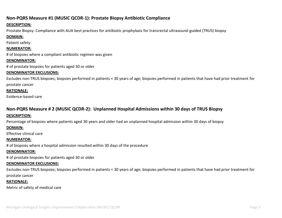# **Non-PQRS Measure #1 (MUSIC QCDR-1): Prostate Biopsy Antibiotic Compliance**

## **DESCRIPTION:**

Prostate Biopsy: Compliance with AUA best practices for antibiotic prophylaxis for transrectal ultrasound-guided (TRUS) biopsy

## **DOMAIN:**

Patient safety

## **NUMERATOR:**

# of biopsies where a compliant antibiotic regimen was given

#### **DENOMINATOR:**

# of prostate biopsies for patients aged 30 or older

## **DENOMINATOR EXCLUSIONS:**

Excludes non-TRUS biopsies; biopsies performed in patients < 30 years of age; biopsies performed in patients that have had prior treatment for prostate cancer

## **RATIONALE:**

Evidence-based care

# **Non-PQRS Measure # 2 (MUSIC QCDR-2): Unplanned Hospital Admissions within 30 days of TRUS Biopsy**

## **DESCRIPTION:**

Percentage of biopsies where patients aged 30 years and older had an unplanned hospital admission within 30 days of biopsy

## **DOMAIN:**

Effective clinical care

## **NUMERATOR:**

# of biopsies where a hospital admission resulted within 30 days of the procedure

## **DENOMINATOR:**

# of prostate biopsies for patients aged 30 or older

## **DENOMINATOR EXCLUSIONS:**

Excludes non-TRUS biopsies; biopsies performed in patients < 30 years of age; biopsies performed in patients that have had prior treatment for prostate cancer

# **RATIONALE:**

Metric of safety of medical care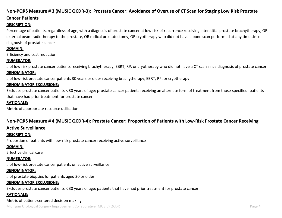# **Non-PQRS Measure # 3 (MUSIC QCDR-3): Prostate Cancer: Avoidance of Overuse of CT Scan for Staging Low Risk Prostate**

## **Cancer Patients**

#### **DESCRIPTION:**

Percentage of patients, regardless of age, with a diagnosis of prostate cancer at low risk of recurrence receiving interstitial prostate brachytherapy, OR external beam radiotherapy to the prostate, OR radical prostatectomy, OR cryotherapy who did not have a bone scan performed at any time since diagnosis of prostate cancer

#### **DOMAIN:**

Efficiency and cost reduction

#### **NUMERATOR:**

# of low risk prostate cancer patients receiving brachytherapy, EBRT, RP, or cryotherapy who did not have a CT scan since diagnosis of prostate cancer **DENOMINATOR:**

# of low-risk prostate cancer patients 30 years or older receiving brachytherapy, EBRT, RP, or cryotherapy

#### **DENOMINATOR EXCLUSIONS:**

Excludes prostate cancer patients < 30 years of age; prostate cancer patients receiving an alternate form of treatment from those specified; patients that have had prior treatment for prostate cancer

#### **RATIONALE:**

Metric of appropriate resource utilization

## **Non-PQRS Measure # 4 (MUSIC QCDR-4): Prostate Cancer: Proportion of Patients with Low-Risk Prostate Cancer Receiving**

## **Active Surveillance**

#### **DESCRIPTION:**

Proportion of patients with low-risk prostate cancer receiving active surveillance

#### **DOMAIN:**

Effective clinical care

#### **NUMERATOR:**

# of low-risk prostate cancer patients on active surveillance

#### **DENOMINATOR:**

# of prostate biopsies for patients aged 30 or older

#### **DENOMINATOR EXCLUSIONS:**

Excludes prostate cancer patients < 30 years of age; patients that have had prior treatment for prostate cancer

#### **RATIONALE:**

#### Metric of patient-centered decision making

Michigan Urological Surgery Improvement Collaborative (MUSIC) QCDR **Page 4** and the state of the state of the state of the state of the state of the state of the state of the state of the state of the state of the state of